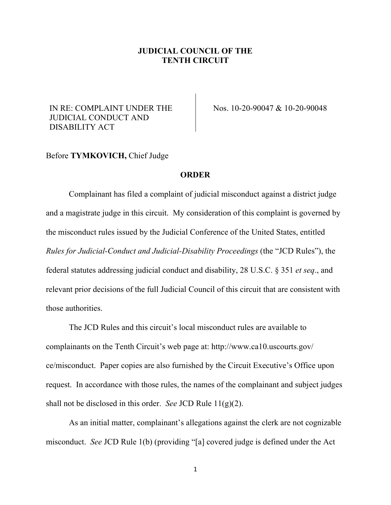## **JUDICIAL COUNCIL OF THE TENTH CIRCUIT**

## IN RE: COMPLAINT UNDER THE JUDICIAL CONDUCT AND DISABILITY ACT

Nos. 10-20-90047 & 10-20-90048

## Before **TYMKOVICH,** Chief Judge

## **ORDER**

Complainant has filed a complaint of judicial misconduct against a district judge and a magistrate judge in this circuit. My consideration of this complaint is governed by the misconduct rules issued by the Judicial Conference of the United States, entitled *Rules for Judicial-Conduct and Judicial-Disability Proceedings* (the "JCD Rules"), the federal statutes addressing judicial conduct and disability, 28 U.S.C. § 351 *et seq*., and relevant prior decisions of the full Judicial Council of this circuit that are consistent with those authorities.

The JCD Rules and this circuit's local misconduct rules are available to complainants on the Tenth Circuit's web page at: http://www.ca10.uscourts.gov/ ce/misconduct. Paper copies are also furnished by the Circuit Executive's Office upon request. In accordance with those rules, the names of the complainant and subject judges shall not be disclosed in this order. *See* JCD Rule 11(g)(2).

As an initial matter, complainant's allegations against the clerk are not cognizable misconduct. *See* JCD Rule 1(b) (providing "[a] covered judge is defined under the Act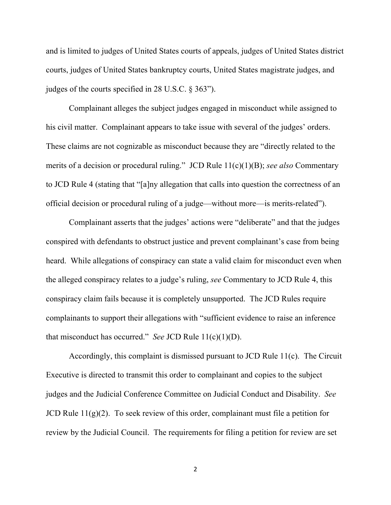and is limited to judges of United States courts of appeals, judges of United States district courts, judges of United States bankruptcy courts, United States magistrate judges, and judges of the courts specified in 28 U.S.C. § 363").

Complainant alleges the subject judges engaged in misconduct while assigned to his civil matter. Complainant appears to take issue with several of the judges' orders. These claims are not cognizable as misconduct because they are "directly related to the merits of a decision or procedural ruling." JCD Rule 11(c)(1)(B); *see also* Commentary to JCD Rule 4 (stating that "[a]ny allegation that calls into question the correctness of an official decision or procedural ruling of a judge—without more—is merits-related").

Complainant asserts that the judges' actions were "deliberate" and that the judges conspired with defendants to obstruct justice and prevent complainant's case from being heard. While allegations of conspiracy can state a valid claim for misconduct even when the alleged conspiracy relates to a judge's ruling, *see* Commentary to JCD Rule 4, this conspiracy claim fails because it is completely unsupported. The JCD Rules require complainants to support their allegations with "sufficient evidence to raise an inference that misconduct has occurred." *See* JCD Rule 11(c)(1)(D).

Accordingly, this complaint is dismissed pursuant to JCD Rule 11(c). The Circuit Executive is directed to transmit this order to complainant and copies to the subject judges and the Judicial Conference Committee on Judicial Conduct and Disability. *See* JCD Rule  $11(g)(2)$ . To seek review of this order, complainant must file a petition for review by the Judicial Council. The requirements for filing a petition for review are set

2